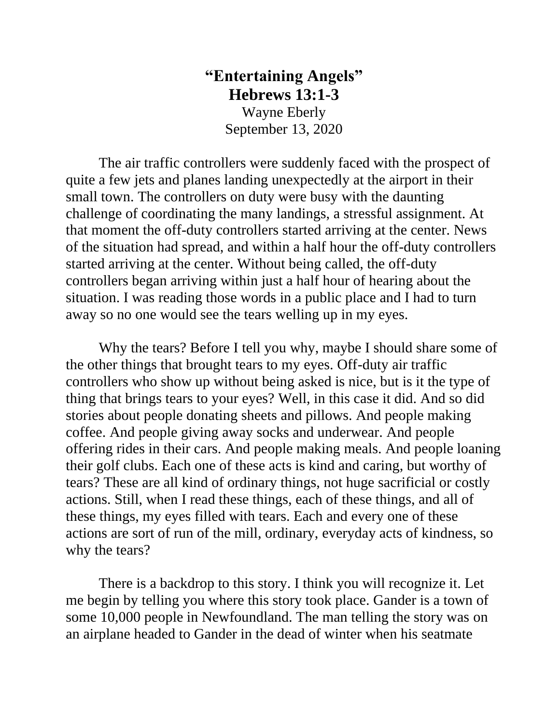## **"Entertaining Angels" Hebrews 13:1-3**

Wayne Eberly September 13, 2020

The air traffic controllers were suddenly faced with the prospect of quite a few jets and planes landing unexpectedly at the airport in their small town. The controllers on duty were busy with the daunting challenge of coordinating the many landings, a stressful assignment. At that moment the off-duty controllers started arriving at the center. News of the situation had spread, and within a half hour the off-duty controllers started arriving at the center. Without being called, the off-duty controllers began arriving within just a half hour of hearing about the situation. I was reading those words in a public place and I had to turn away so no one would see the tears welling up in my eyes.

Why the tears? Before I tell you why, maybe I should share some of the other things that brought tears to my eyes. Off-duty air traffic controllers who show up without being asked is nice, but is it the type of thing that brings tears to your eyes? Well, in this case it did. And so did stories about people donating sheets and pillows. And people making coffee. And people giving away socks and underwear. And people offering rides in their cars. And people making meals. And people loaning their golf clubs. Each one of these acts is kind and caring, but worthy of tears? These are all kind of ordinary things, not huge sacrificial or costly actions. Still, when I read these things, each of these things, and all of these things, my eyes filled with tears. Each and every one of these actions are sort of run of the mill, ordinary, everyday acts of kindness, so why the tears?

There is a backdrop to this story. I think you will recognize it. Let me begin by telling you where this story took place. Gander is a town of some 10,000 people in Newfoundland. The man telling the story was on an airplane headed to Gander in the dead of winter when his seatmate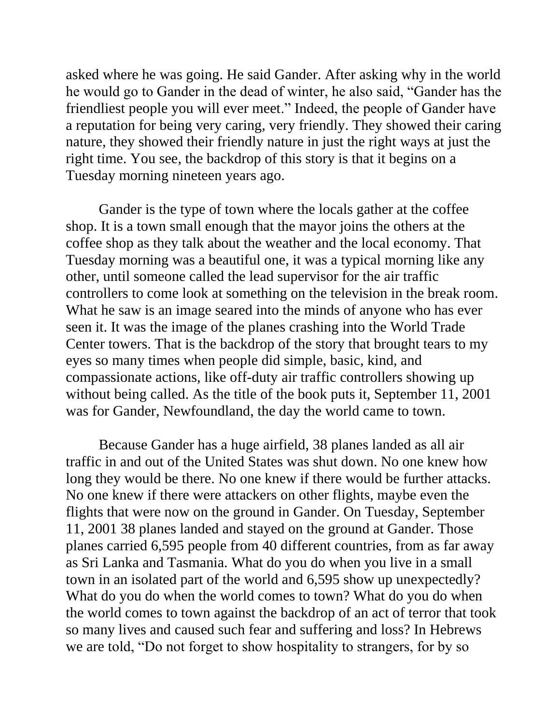asked where he was going. He said Gander. After asking why in the world he would go to Gander in the dead of winter, he also said, "Gander has the friendliest people you will ever meet." Indeed, the people of Gander have a reputation for being very caring, very friendly. They showed their caring nature, they showed their friendly nature in just the right ways at just the right time. You see, the backdrop of this story is that it begins on a Tuesday morning nineteen years ago.

Gander is the type of town where the locals gather at the coffee shop. It is a town small enough that the mayor joins the others at the coffee shop as they talk about the weather and the local economy. That Tuesday morning was a beautiful one, it was a typical morning like any other, until someone called the lead supervisor for the air traffic controllers to come look at something on the television in the break room. What he saw is an image seared into the minds of anyone who has ever seen it. It was the image of the planes crashing into the World Trade Center towers. That is the backdrop of the story that brought tears to my eyes so many times when people did simple, basic, kind, and compassionate actions, like off-duty air traffic controllers showing up without being called. As the title of the book puts it, September 11, 2001 was for Gander, Newfoundland, the day the world came to town.

Because Gander has a huge airfield, 38 planes landed as all air traffic in and out of the United States was shut down. No one knew how long they would be there. No one knew if there would be further attacks. No one knew if there were attackers on other flights, maybe even the flights that were now on the ground in Gander. On Tuesday, September 11, 2001 38 planes landed and stayed on the ground at Gander. Those planes carried 6,595 people from 40 different countries, from as far away as Sri Lanka and Tasmania. What do you do when you live in a small town in an isolated part of the world and 6,595 show up unexpectedly? What do you do when the world comes to town? What do you do when the world comes to town against the backdrop of an act of terror that took so many lives and caused such fear and suffering and loss? In Hebrews we are told, "Do not forget to show hospitality to strangers, for by so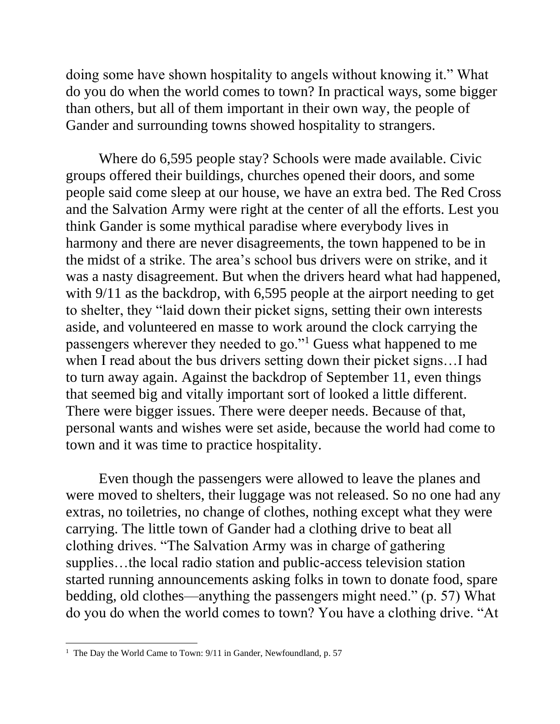doing some have shown hospitality to angels without knowing it." What do you do when the world comes to town? In practical ways, some bigger than others, but all of them important in their own way, the people of Gander and surrounding towns showed hospitality to strangers.

Where do 6,595 people stay? Schools were made available. Civic groups offered their buildings, churches opened their doors, and some people said come sleep at our house, we have an extra bed. The Red Cross and the Salvation Army were right at the center of all the efforts. Lest you think Gander is some mythical paradise where everybody lives in harmony and there are never disagreements, the town happened to be in the midst of a strike. The area's school bus drivers were on strike, and it was a nasty disagreement. But when the drivers heard what had happened, with  $9/11$  as the backdrop, with 6,595 people at the airport needing to get to shelter, they "laid down their picket signs, setting their own interests aside, and volunteered en masse to work around the clock carrying the passengers wherever they needed to go."<sup>1</sup> Guess what happened to me when I read about the bus drivers setting down their picket signs…I had to turn away again. Against the backdrop of September 11, even things that seemed big and vitally important sort of looked a little different. There were bigger issues. There were deeper needs. Because of that, personal wants and wishes were set aside, because the world had come to town and it was time to practice hospitality.

Even though the passengers were allowed to leave the planes and were moved to shelters, their luggage was not released. So no one had any extras, no toiletries, no change of clothes, nothing except what they were carrying. The little town of Gander had a clothing drive to beat all clothing drives. "The Salvation Army was in charge of gathering supplies…the local radio station and public-access television station started running announcements asking folks in town to donate food, spare bedding, old clothes—anything the passengers might need." (p. 57) What do you do when the world comes to town? You have a clothing drive. "At

<sup>&</sup>lt;sup>1</sup> The Day the World Came to Town: 9/11 in Gander, Newfoundland, p. 57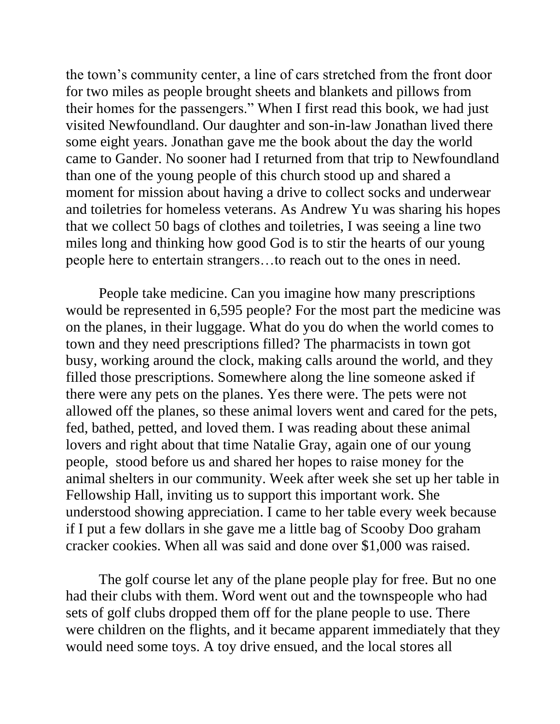the town's community center, a line of cars stretched from the front door for two miles as people brought sheets and blankets and pillows from their homes for the passengers." When I first read this book, we had just visited Newfoundland. Our daughter and son-in-law Jonathan lived there some eight years. Jonathan gave me the book about the day the world came to Gander. No sooner had I returned from that trip to Newfoundland than one of the young people of this church stood up and shared a moment for mission about having a drive to collect socks and underwear and toiletries for homeless veterans. As Andrew Yu was sharing his hopes that we collect 50 bags of clothes and toiletries, I was seeing a line two miles long and thinking how good God is to stir the hearts of our young people here to entertain strangers…to reach out to the ones in need.

People take medicine. Can you imagine how many prescriptions would be represented in 6,595 people? For the most part the medicine was on the planes, in their luggage. What do you do when the world comes to town and they need prescriptions filled? The pharmacists in town got busy, working around the clock, making calls around the world, and they filled those prescriptions. Somewhere along the line someone asked if there were any pets on the planes. Yes there were. The pets were not allowed off the planes, so these animal lovers went and cared for the pets, fed, bathed, petted, and loved them. I was reading about these animal lovers and right about that time Natalie Gray, again one of our young people, stood before us and shared her hopes to raise money for the animal shelters in our community. Week after week she set up her table in Fellowship Hall, inviting us to support this important work. She understood showing appreciation. I came to her table every week because if I put a few dollars in she gave me a little bag of Scooby Doo graham cracker cookies. When all was said and done over \$1,000 was raised.

The golf course let any of the plane people play for free. But no one had their clubs with them. Word went out and the townspeople who had sets of golf clubs dropped them off for the plane people to use. There were children on the flights, and it became apparent immediately that they would need some toys. A toy drive ensued, and the local stores all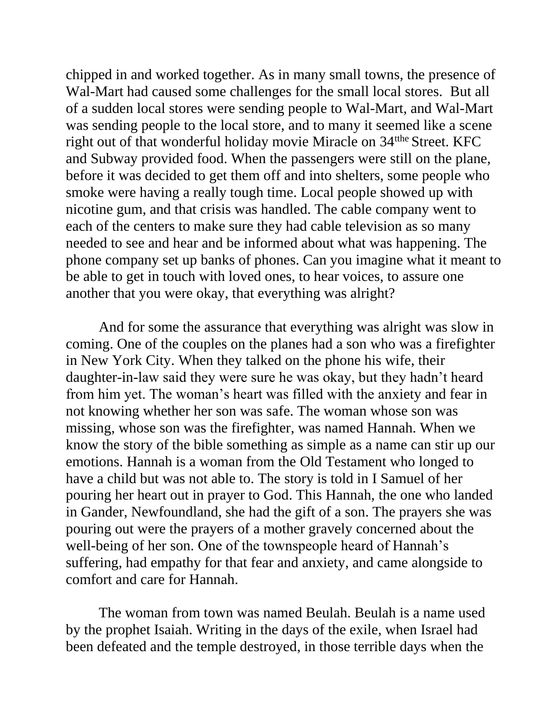chipped in and worked together. As in many small towns, the presence of Wal-Mart had caused some challenges for the small local stores. But all of a sudden local stores were sending people to Wal-Mart, and Wal-Mart was sending people to the local store, and to many it seemed like a scene right out of that wonderful holiday movie Miracle on 34<sup>the</sup> Street. KFC and Subway provided food. When the passengers were still on the plane, before it was decided to get them off and into shelters, some people who smoke were having a really tough time. Local people showed up with nicotine gum, and that crisis was handled. The cable company went to each of the centers to make sure they had cable television as so many needed to see and hear and be informed about what was happening. The phone company set up banks of phones. Can you imagine what it meant to be able to get in touch with loved ones, to hear voices, to assure one another that you were okay, that everything was alright?

And for some the assurance that everything was alright was slow in coming. One of the couples on the planes had a son who was a firefighter in New York City. When they talked on the phone his wife, their daughter-in-law said they were sure he was okay, but they hadn't heard from him yet. The woman's heart was filled with the anxiety and fear in not knowing whether her son was safe. The woman whose son was missing, whose son was the firefighter, was named Hannah. When we know the story of the bible something as simple as a name can stir up our emotions. Hannah is a woman from the Old Testament who longed to have a child but was not able to. The story is told in I Samuel of her pouring her heart out in prayer to God. This Hannah, the one who landed in Gander, Newfoundland, she had the gift of a son. The prayers she was pouring out were the prayers of a mother gravely concerned about the well-being of her son. One of the townspeople heard of Hannah's suffering, had empathy for that fear and anxiety, and came alongside to comfort and care for Hannah.

The woman from town was named Beulah. Beulah is a name used by the prophet Isaiah. Writing in the days of the exile, when Israel had been defeated and the temple destroyed, in those terrible days when the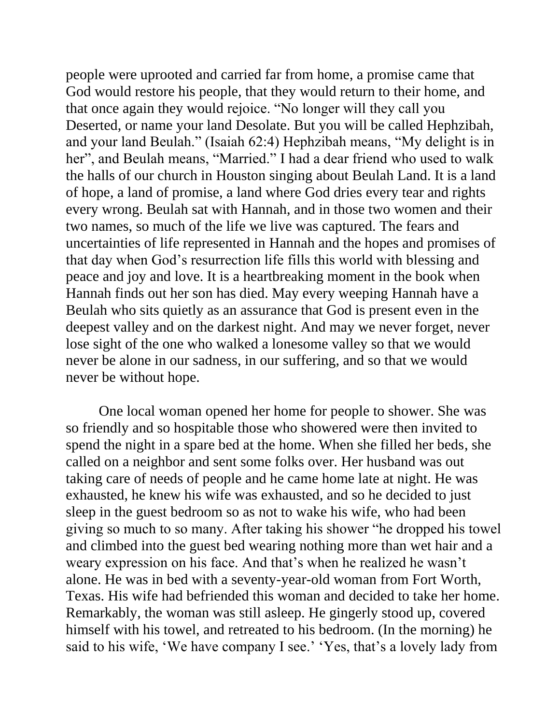people were uprooted and carried far from home, a promise came that God would restore his people, that they would return to their home, and that once again they would rejoice. "No longer will they call you Deserted, or name your land Desolate. But you will be called Hephzibah, and your land Beulah." (Isaiah 62:4) Hephzibah means, "My delight is in her", and Beulah means, "Married." I had a dear friend who used to walk the halls of our church in Houston singing about Beulah Land. It is a land of hope, a land of promise, a land where God dries every tear and rights every wrong. Beulah sat with Hannah, and in those two women and their two names, so much of the life we live was captured. The fears and uncertainties of life represented in Hannah and the hopes and promises of that day when God's resurrection life fills this world with blessing and peace and joy and love. It is a heartbreaking moment in the book when Hannah finds out her son has died. May every weeping Hannah have a Beulah who sits quietly as an assurance that God is present even in the deepest valley and on the darkest night. And may we never forget, never lose sight of the one who walked a lonesome valley so that we would never be alone in our sadness, in our suffering, and so that we would never be without hope.

One local woman opened her home for people to shower. She was so friendly and so hospitable those who showered were then invited to spend the night in a spare bed at the home. When she filled her beds, she called on a neighbor and sent some folks over. Her husband was out taking care of needs of people and he came home late at night. He was exhausted, he knew his wife was exhausted, and so he decided to just sleep in the guest bedroom so as not to wake his wife, who had been giving so much to so many. After taking his shower "he dropped his towel and climbed into the guest bed wearing nothing more than wet hair and a weary expression on his face. And that's when he realized he wasn't alone. He was in bed with a seventy-year-old woman from Fort Worth, Texas. His wife had befriended this woman and decided to take her home. Remarkably, the woman was still asleep. He gingerly stood up, covered himself with his towel, and retreated to his bedroom. (In the morning) he said to his wife, 'We have company I see.' 'Yes, that's a lovely lady from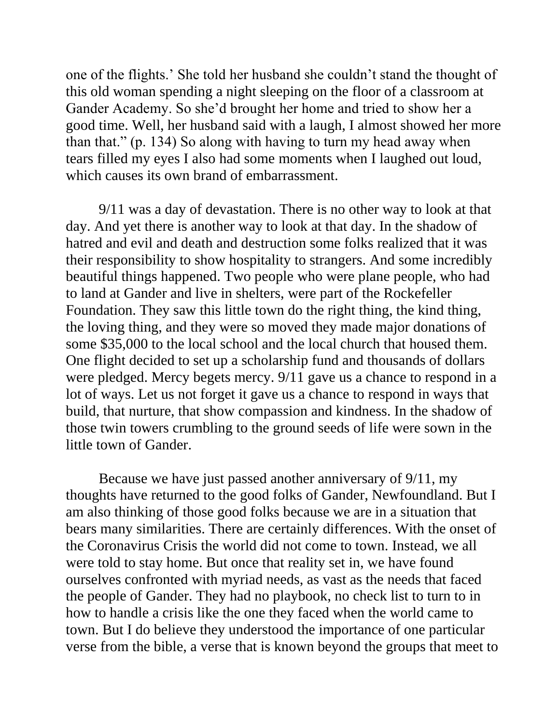one of the flights.' She told her husband she couldn't stand the thought of this old woman spending a night sleeping on the floor of a classroom at Gander Academy. So she'd brought her home and tried to show her a good time. Well, her husband said with a laugh, I almost showed her more than that." (p. 134) So along with having to turn my head away when tears filled my eyes I also had some moments when I laughed out loud, which causes its own brand of embarrassment.

9/11 was a day of devastation. There is no other way to look at that day. And yet there is another way to look at that day. In the shadow of hatred and evil and death and destruction some folks realized that it was their responsibility to show hospitality to strangers. And some incredibly beautiful things happened. Two people who were plane people, who had to land at Gander and live in shelters, were part of the Rockefeller Foundation. They saw this little town do the right thing, the kind thing, the loving thing, and they were so moved they made major donations of some \$35,000 to the local school and the local church that housed them. One flight decided to set up a scholarship fund and thousands of dollars were pledged. Mercy begets mercy. 9/11 gave us a chance to respond in a lot of ways. Let us not forget it gave us a chance to respond in ways that build, that nurture, that show compassion and kindness. In the shadow of those twin towers crumbling to the ground seeds of life were sown in the little town of Gander.

Because we have just passed another anniversary of 9/11, my thoughts have returned to the good folks of Gander, Newfoundland. But I am also thinking of those good folks because we are in a situation that bears many similarities. There are certainly differences. With the onset of the Coronavirus Crisis the world did not come to town. Instead, we all were told to stay home. But once that reality set in, we have found ourselves confronted with myriad needs, as vast as the needs that faced the people of Gander. They had no playbook, no check list to turn to in how to handle a crisis like the one they faced when the world came to town. But I do believe they understood the importance of one particular verse from the bible, a verse that is known beyond the groups that meet to